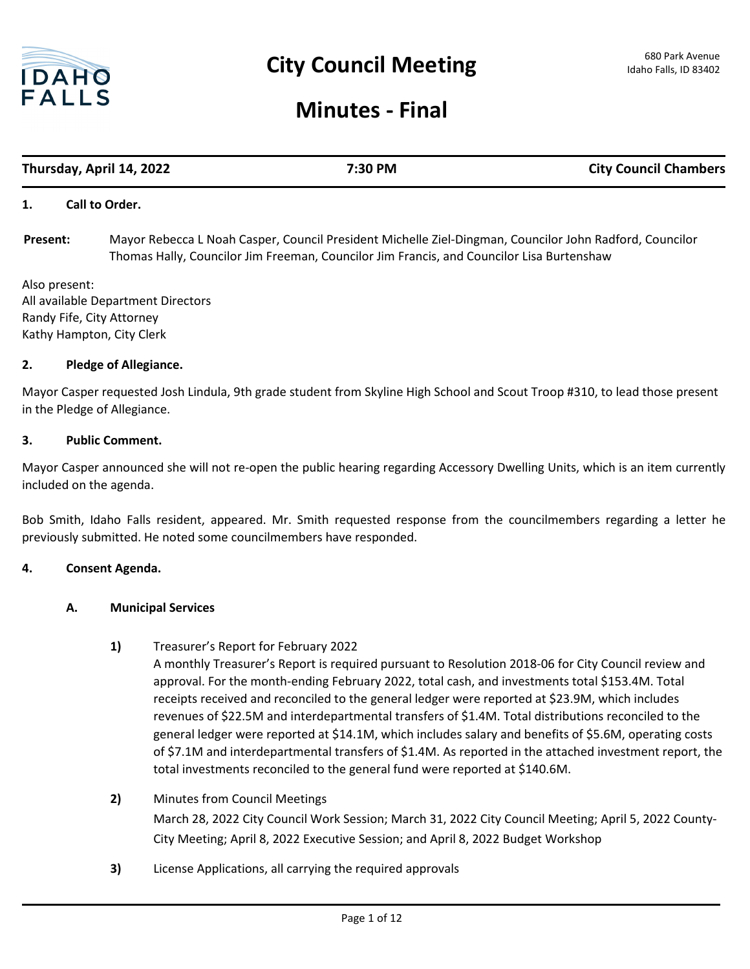

# **Minutes - Final**

# **Thursday, April 14, 2022 7:30 PM City Council Chambers**

#### **1. Call to Order.**

Mayor Rebecca L Noah Casper, Council President Michelle Ziel-Dingman, Councilor John Radford, Councilor Thomas Hally, Councilor Jim Freeman, Councilor Jim Francis, and Councilor Lisa Burtenshaw **Present:**

Also present: All available Department Directors Randy Fife, City Attorney Kathy Hampton, City Clerk

#### **2. Pledge of Allegiance.**

Mayor Casper requested Josh Lindula, 9th grade student from Skyline High School and Scout Troop #310, to lead those present in the Pledge of Allegiance.

#### **3. Public Comment.**

Mayor Casper announced she will not re-open the public hearing regarding Accessory Dwelling Units, which is an item currently included on the agenda.

Bob Smith, Idaho Falls resident, appeared. Mr. Smith requested response from the councilmembers regarding a letter he previously submitted. He noted some councilmembers have responded.

#### **4. Consent Agenda.**

#### **A. Municipal Services**

**1)** Treasurer's Report for February 2022

A monthly Treasurer's Report is required pursuant to Resolution 2018-06 for City Council review and approval. For the month-ending February 2022, total cash, and investments total \$153.4M. Total receipts received and reconciled to the general ledger were reported at \$23.9M, which includes revenues of \$22.5M and interdepartmental transfers of \$1.4M. Total distributions reconciled to the general ledger were reported at \$14.1M, which includes salary and benefits of \$5.6M, operating costs of \$7.1M and interdepartmental transfers of \$1.4M. As reported in the attached investment report, the total investments reconciled to the general fund were reported at \$140.6M.

#### **2)** Minutes from Council Meetings

March 28, 2022 City Council Work Session; March 31, 2022 City Council Meeting; April 5, 2022 County-City Meeting; April 8, 2022 Executive Session; and April 8, 2022 Budget Workshop

**3)** License Applications, all carrying the required approvals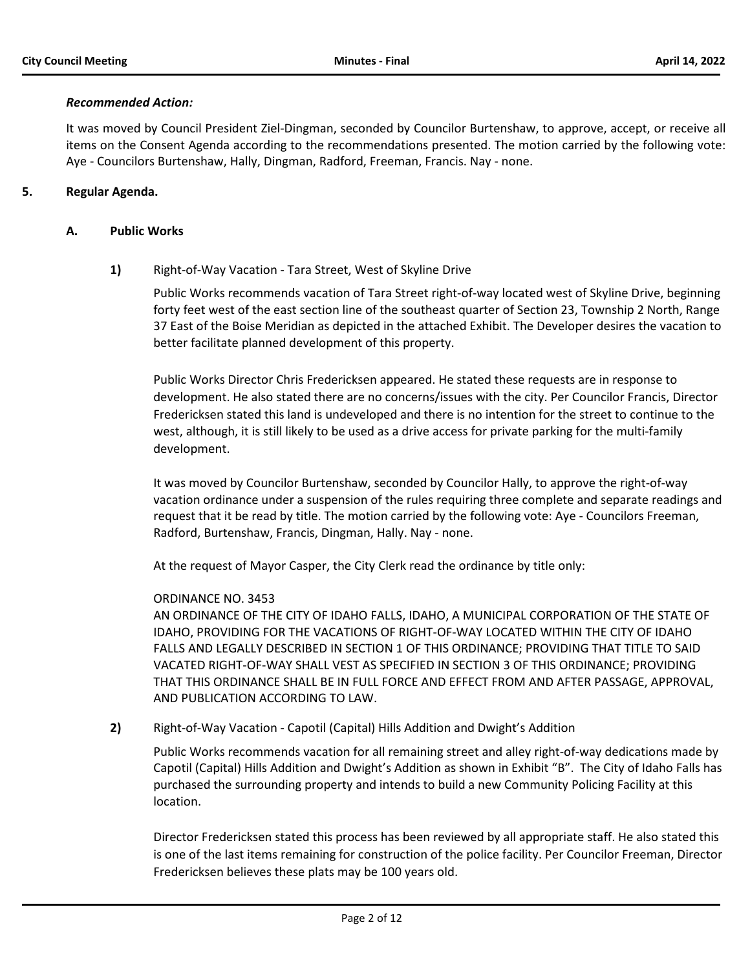#### *Recommended Action:*

It was moved by Council President Ziel-Dingman, seconded by Councilor Burtenshaw, to approve, accept, or receive all items on the Consent Agenda according to the recommendations presented. The motion carried by the following vote: Aye - Councilors Burtenshaw, Hally, Dingman, Radford, Freeman, Francis. Nay - none.

# **5. Regular Agenda.**

#### **A. Public Works**

**1)** Right-of-Way Vacation - Tara Street, West of Skyline Drive

Public Works recommends vacation of Tara Street right-of-way located west of Skyline Drive, beginning forty feet west of the east section line of the southeast quarter of Section 23, Township 2 North, Range 37 East of the Boise Meridian as depicted in the attached Exhibit. The Developer desires the vacation to better facilitate planned development of this property.

Public Works Director Chris Fredericksen appeared. He stated these requests are in response to development. He also stated there are no concerns/issues with the city. Per Councilor Francis, Director Fredericksen stated this land is undeveloped and there is no intention for the street to continue to the west, although, it is still likely to be used as a drive access for private parking for the multi-family development.

It was moved by Councilor Burtenshaw, seconded by Councilor Hally, to approve the right-of-way vacation ordinance under a suspension of the rules requiring three complete and separate readings and request that it be read by title. The motion carried by the following vote: Aye - Councilors Freeman, Radford, Burtenshaw, Francis, Dingman, Hally. Nay - none.

At the request of Mayor Casper, the City Clerk read the ordinance by title only:

# ORDINANCE NO. 3453

AN ORDINANCE OF THE CITY OF IDAHO FALLS, IDAHO, A MUNICIPAL CORPORATION OF THE STATE OF IDAHO, PROVIDING FOR THE VACATIONS OF RIGHT-OF-WAY LOCATED WITHIN THE CITY OF IDAHO FALLS AND LEGALLY DESCRIBED IN SECTION 1 OF THIS ORDINANCE; PROVIDING THAT TITLE TO SAID VACATED RIGHT-OF-WAY SHALL VEST AS SPECIFIED IN SECTION 3 OF THIS ORDINANCE; PROVIDING THAT THIS ORDINANCE SHALL BE IN FULL FORCE AND EFFECT FROM AND AFTER PASSAGE, APPROVAL, AND PUBLICATION ACCORDING TO LAW.

**2)** Right-of-Way Vacation - Capotil (Capital) Hills Addition and Dwight's Addition

Public Works recommends vacation for all remaining street and alley right-of-way dedications made by Capotil (Capital) Hills Addition and Dwight's Addition as shown in Exhibit "B". The City of Idaho Falls has purchased the surrounding property and intends to build a new Community Policing Facility at this location.

Director Fredericksen stated this process has been reviewed by all appropriate staff. He also stated this is one of the last items remaining for construction of the police facility. Per Councilor Freeman, Director Fredericksen believes these plats may be 100 years old.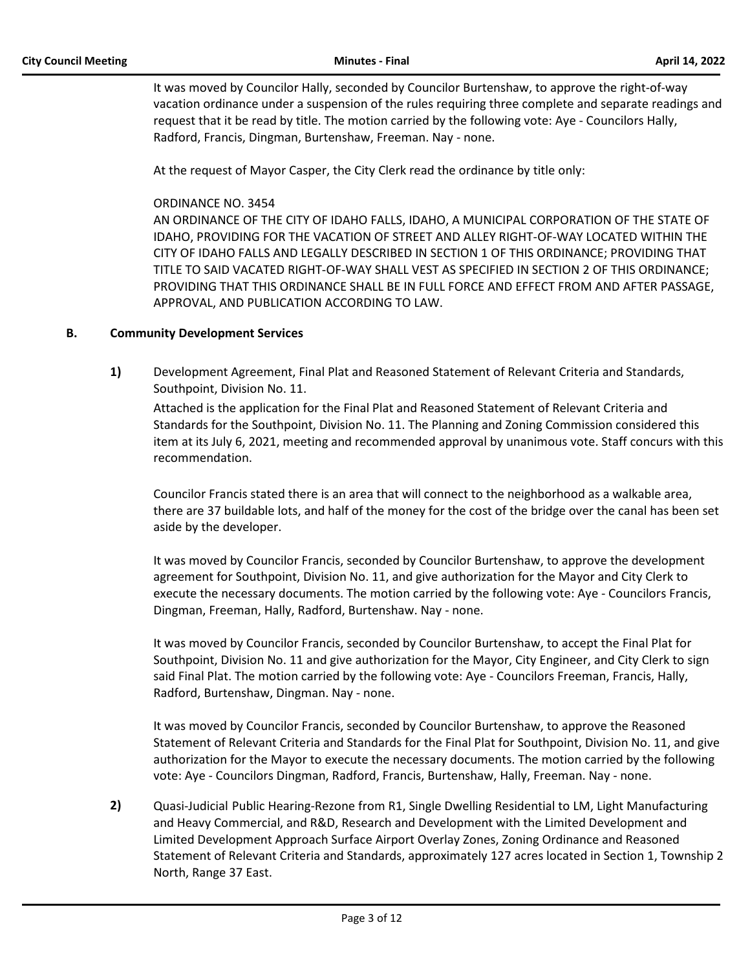It was moved by Councilor Hally, seconded by Councilor Burtenshaw, to approve the right-of-way vacation ordinance under a suspension of the rules requiring three complete and separate readings and request that it be read by title. The motion carried by the following vote: Aye - Councilors Hally, Radford, Francis, Dingman, Burtenshaw, Freeman. Nay - none.

At the request of Mayor Casper, the City Clerk read the ordinance by title only:

# ORDINANCE NO. 3454

AN ORDINANCE OF THE CITY OF IDAHO FALLS, IDAHO, A MUNICIPAL CORPORATION OF THE STATE OF IDAHO, PROVIDING FOR THE VACATION OF STREET AND ALLEY RIGHT-OF-WAY LOCATED WITHIN THE CITY OF IDAHO FALLS AND LEGALLY DESCRIBED IN SECTION 1 OF THIS ORDINANCE; PROVIDING THAT TITLE TO SAID VACATED RIGHT-OF-WAY SHALL VEST AS SPECIFIED IN SECTION 2 OF THIS ORDINANCE; PROVIDING THAT THIS ORDINANCE SHALL BE IN FULL FORCE AND EFFECT FROM AND AFTER PASSAGE, APPROVAL, AND PUBLICATION ACCORDING TO LAW.

# **B. Community Development Services**

**1)** Development Agreement, Final Plat and Reasoned Statement of Relevant Criteria and Standards, Southpoint, Division No. 11.

Attached is the application for the Final Plat and Reasoned Statement of Relevant Criteria and Standards for the Southpoint, Division No. 11. The Planning and Zoning Commission considered this item at its July 6, 2021, meeting and recommended approval by unanimous vote. Staff concurs with this recommendation.

Councilor Francis stated there is an area that will connect to the neighborhood as a walkable area, there are 37 buildable lots, and half of the money for the cost of the bridge over the canal has been set aside by the developer.

It was moved by Councilor Francis, seconded by Councilor Burtenshaw, to approve the development agreement for Southpoint, Division No. 11, and give authorization for the Mayor and City Clerk to execute the necessary documents. The motion carried by the following vote: Aye - Councilors Francis, Dingman, Freeman, Hally, Radford, Burtenshaw. Nay - none.

It was moved by Councilor Francis, seconded by Councilor Burtenshaw, to accept the Final Plat for Southpoint, Division No. 11 and give authorization for the Mayor, City Engineer, and City Clerk to sign said Final Plat. The motion carried by the following vote: Aye - Councilors Freeman, Francis, Hally, Radford, Burtenshaw, Dingman. Nay - none.

It was moved by Councilor Francis, seconded by Councilor Burtenshaw, to approve the Reasoned Statement of Relevant Criteria and Standards for the Final Plat for Southpoint, Division No. 11, and give authorization for the Mayor to execute the necessary documents. The motion carried by the following vote: Aye - Councilors Dingman, Radford, Francis, Burtenshaw, Hally, Freeman. Nay - none.

**2)** Quasi-Judicial Public Hearing-Rezone from R1, Single Dwelling Residential to LM, Light Manufacturing and Heavy Commercial, and R&D, Research and Development with the Limited Development and Limited Development Approach Surface Airport Overlay Zones, Zoning Ordinance and Reasoned Statement of Relevant Criteria and Standards, approximately 127 acres located in Section 1, Township 2 North, Range 37 East.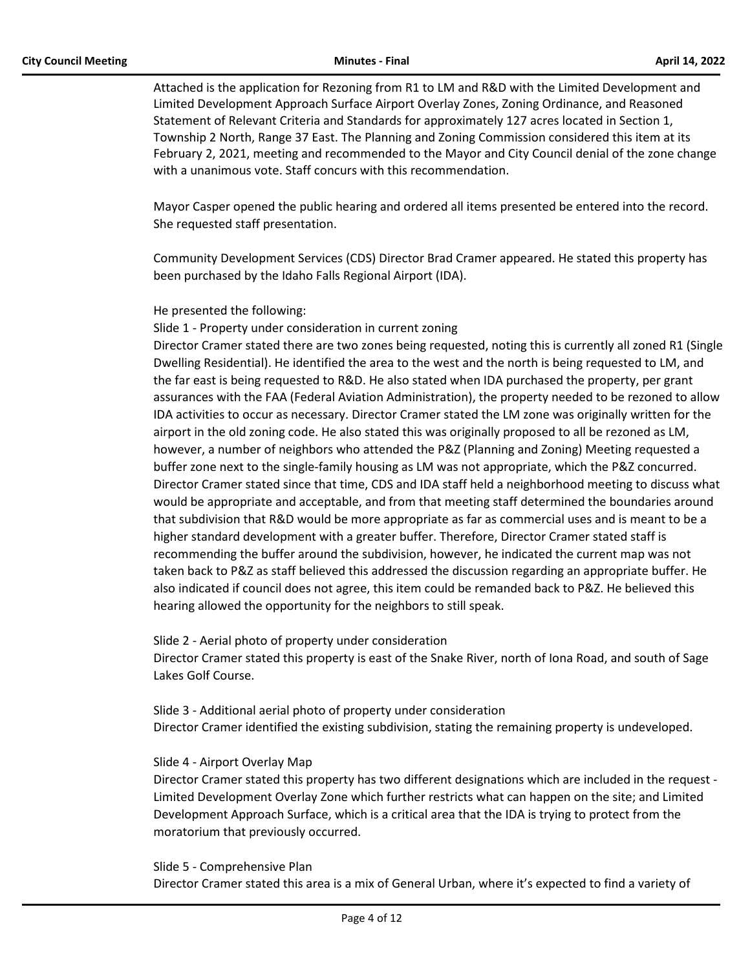Attached is the application for Rezoning from R1 to LM and R&D with the Limited Development and Limited Development Approach Surface Airport Overlay Zones, Zoning Ordinance, and Reasoned Statement of Relevant Criteria and Standards for approximately 127 acres located in Section 1, Township 2 North, Range 37 East. The Planning and Zoning Commission considered this item at its February 2, 2021, meeting and recommended to the Mayor and City Council denial of the zone change with a unanimous vote. Staff concurs with this recommendation.

Mayor Casper opened the public hearing and ordered all items presented be entered into the record. She requested staff presentation.

Community Development Services (CDS) Director Brad Cramer appeared. He stated this property has been purchased by the Idaho Falls Regional Airport (IDA).

He presented the following:

Slide 1 - Property under consideration in current zoning

Director Cramer stated there are two zones being requested, noting this is currently all zoned R1 (Single Dwelling Residential). He identified the area to the west and the north is being requested to LM, and the far east is being requested to R&D. He also stated when IDA purchased the property, per grant assurances with the FAA (Federal Aviation Administration), the property needed to be rezoned to allow IDA activities to occur as necessary. Director Cramer stated the LM zone was originally written for the airport in the old zoning code. He also stated this was originally proposed to all be rezoned as LM, however, a number of neighbors who attended the P&Z (Planning and Zoning) Meeting requested a buffer zone next to the single-family housing as LM was not appropriate, which the P&Z concurred. Director Cramer stated since that time, CDS and IDA staff held a neighborhood meeting to discuss what would be appropriate and acceptable, and from that meeting staff determined the boundaries around that subdivision that R&D would be more appropriate as far as commercial uses and is meant to be a higher standard development with a greater buffer. Therefore, Director Cramer stated staff is recommending the buffer around the subdivision, however, he indicated the current map was not taken back to P&Z as staff believed this addressed the discussion regarding an appropriate buffer. He also indicated if council does not agree, this item could be remanded back to P&Z. He believed this hearing allowed the opportunity for the neighbors to still speak.

Slide 2 - Aerial photo of property under consideration Director Cramer stated this property is east of the Snake River, north of Iona Road, and south of Sage Lakes Golf Course.

Slide 3 - Additional aerial photo of property under consideration Director Cramer identified the existing subdivision, stating the remaining property is undeveloped.

#### Slide 4 - Airport Overlay Map

Director Cramer stated this property has two different designations which are included in the request - Limited Development Overlay Zone which further restricts what can happen on the site; and Limited Development Approach Surface, which is a critical area that the IDA is trying to protect from the moratorium that previously occurred.

#### Slide 5 - Comprehensive Plan

Director Cramer stated this area is a mix of General Urban, where it's expected to find a variety of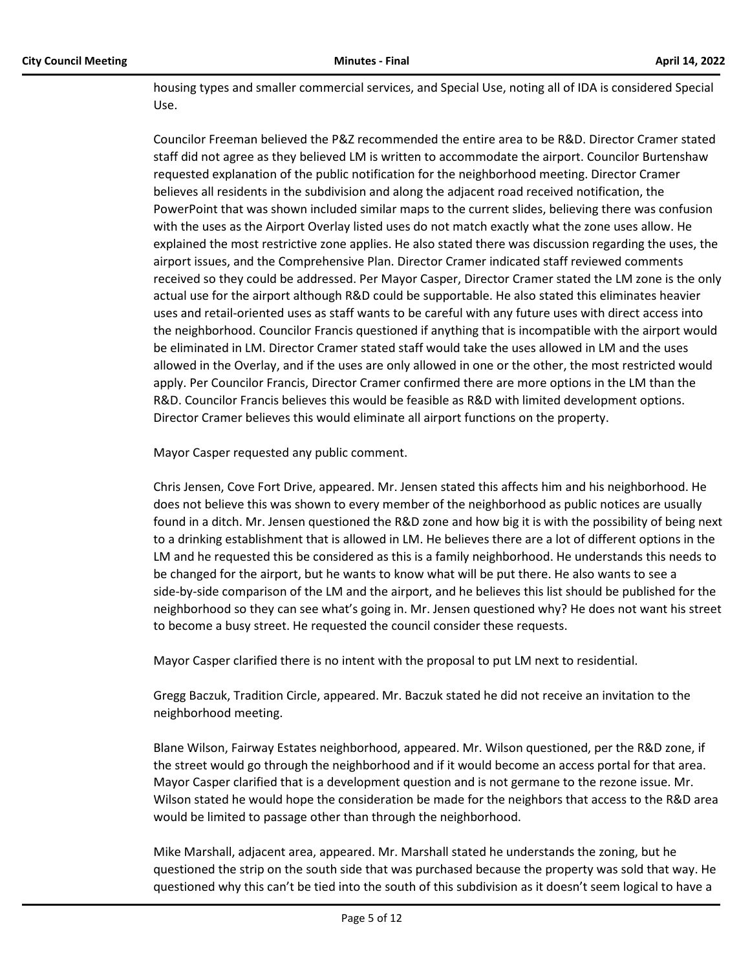housing types and smaller commercial services, and Special Use, noting all of IDA is considered Special Use.

Councilor Freeman believed the P&Z recommended the entire area to be R&D. Director Cramer stated staff did not agree as they believed LM is written to accommodate the airport. Councilor Burtenshaw requested explanation of the public notification for the neighborhood meeting. Director Cramer believes all residents in the subdivision and along the adjacent road received notification, the PowerPoint that was shown included similar maps to the current slides, believing there was confusion with the uses as the Airport Overlay listed uses do not match exactly what the zone uses allow. He explained the most restrictive zone applies. He also stated there was discussion regarding the uses, the airport issues, and the Comprehensive Plan. Director Cramer indicated staff reviewed comments received so they could be addressed. Per Mayor Casper, Director Cramer stated the LM zone is the only actual use for the airport although R&D could be supportable. He also stated this eliminates heavier uses and retail-oriented uses as staff wants to be careful with any future uses with direct access into the neighborhood. Councilor Francis questioned if anything that is incompatible with the airport would be eliminated in LM. Director Cramer stated staff would take the uses allowed in LM and the uses allowed in the Overlay, and if the uses are only allowed in one or the other, the most restricted would apply. Per Councilor Francis, Director Cramer confirmed there are more options in the LM than the R&D. Councilor Francis believes this would be feasible as R&D with limited development options. Director Cramer believes this would eliminate all airport functions on the property.

Mayor Casper requested any public comment.

Chris Jensen, Cove Fort Drive, appeared. Mr. Jensen stated this affects him and his neighborhood. He does not believe this was shown to every member of the neighborhood as public notices are usually found in a ditch. Mr. Jensen questioned the R&D zone and how big it is with the possibility of being next to a drinking establishment that is allowed in LM. He believes there are a lot of different options in the LM and he requested this be considered as this is a family neighborhood. He understands this needs to be changed for the airport, but he wants to know what will be put there. He also wants to see a side-by-side comparison of the LM and the airport, and he believes this list should be published for the neighborhood so they can see what's going in. Mr. Jensen questioned why? He does not want his street to become a busy street. He requested the council consider these requests.

Mayor Casper clarified there is no intent with the proposal to put LM next to residential.

Gregg Baczuk, Tradition Circle, appeared. Mr. Baczuk stated he did not receive an invitation to the neighborhood meeting.

Blane Wilson, Fairway Estates neighborhood, appeared. Mr. Wilson questioned, per the R&D zone, if the street would go through the neighborhood and if it would become an access portal for that area. Mayor Casper clarified that is a development question and is not germane to the rezone issue. Mr. Wilson stated he would hope the consideration be made for the neighbors that access to the R&D area would be limited to passage other than through the neighborhood.

Mike Marshall, adjacent area, appeared. Mr. Marshall stated he understands the zoning, but he questioned the strip on the south side that was purchased because the property was sold that way. He questioned why this can't be tied into the south of this subdivision as it doesn't seem logical to have a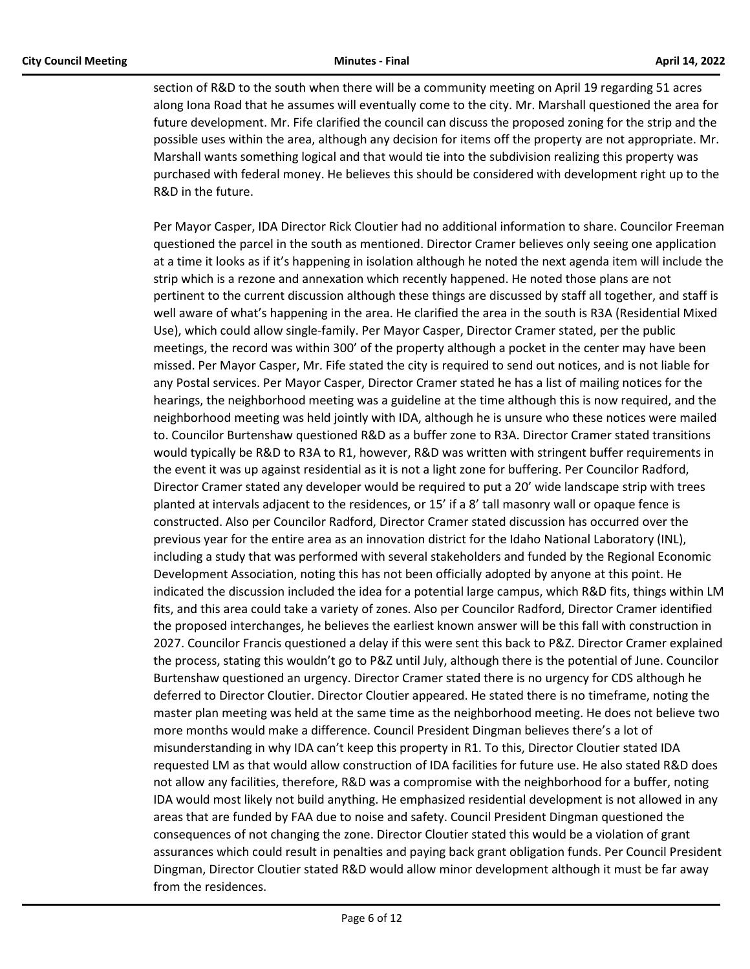section of R&D to the south when there will be a community meeting on April 19 regarding 51 acres along Iona Road that he assumes will eventually come to the city. Mr. Marshall questioned the area for future development. Mr. Fife clarified the council can discuss the proposed zoning for the strip and the possible uses within the area, although any decision for items off the property are not appropriate. Mr. Marshall wants something logical and that would tie into the subdivision realizing this property was purchased with federal money. He believes this should be considered with development right up to the R&D in the future.

Per Mayor Casper, IDA Director Rick Cloutier had no additional information to share. Councilor Freeman questioned the parcel in the south as mentioned. Director Cramer believes only seeing one application at a time it looks as if it's happening in isolation although he noted the next agenda item will include the strip which is a rezone and annexation which recently happened. He noted those plans are not pertinent to the current discussion although these things are discussed by staff all together, and staff is well aware of what's happening in the area. He clarified the area in the south is R3A (Residential Mixed Use), which could allow single-family. Per Mayor Casper, Director Cramer stated, per the public meetings, the record was within 300' of the property although a pocket in the center may have been missed. Per Mayor Casper, Mr. Fife stated the city is required to send out notices, and is not liable for any Postal services. Per Mayor Casper, Director Cramer stated he has a list of mailing notices for the hearings, the neighborhood meeting was a guideline at the time although this is now required, and the neighborhood meeting was held jointly with IDA, although he is unsure who these notices were mailed to. Councilor Burtenshaw questioned R&D as a buffer zone to R3A. Director Cramer stated transitions would typically be R&D to R3A to R1, however, R&D was written with stringent buffer requirements in the event it was up against residential as it is not a light zone for buffering. Per Councilor Radford, Director Cramer stated any developer would be required to put a 20' wide landscape strip with trees planted at intervals adjacent to the residences, or 15' if a 8' tall masonry wall or opaque fence is constructed. Also per Councilor Radford, Director Cramer stated discussion has occurred over the previous year for the entire area as an innovation district for the Idaho National Laboratory (INL), including a study that was performed with several stakeholders and funded by the Regional Economic Development Association, noting this has not been officially adopted by anyone at this point. He indicated the discussion included the idea for a potential large campus, which R&D fits, things within LM fits, and this area could take a variety of zones. Also per Councilor Radford, Director Cramer identified the proposed interchanges, he believes the earliest known answer will be this fall with construction in 2027. Councilor Francis questioned a delay if this were sent this back to P&Z. Director Cramer explained the process, stating this wouldn't go to P&Z until July, although there is the potential of June. Councilor Burtenshaw questioned an urgency. Director Cramer stated there is no urgency for CDS although he deferred to Director Cloutier. Director Cloutier appeared. He stated there is no timeframe, noting the master plan meeting was held at the same time as the neighborhood meeting. He does not believe two more months would make a difference. Council President Dingman believes there's a lot of misunderstanding in why IDA can't keep this property in R1. To this, Director Cloutier stated IDA requested LM as that would allow construction of IDA facilities for future use. He also stated R&D does not allow any facilities, therefore, R&D was a compromise with the neighborhood for a buffer, noting IDA would most likely not build anything. He emphasized residential development is not allowed in any areas that are funded by FAA due to noise and safety. Council President Dingman questioned the consequences of not changing the zone. Director Cloutier stated this would be a violation of grant assurances which could result in penalties and paying back grant obligation funds. Per Council President Dingman, Director Cloutier stated R&D would allow minor development although it must be far away from the residences.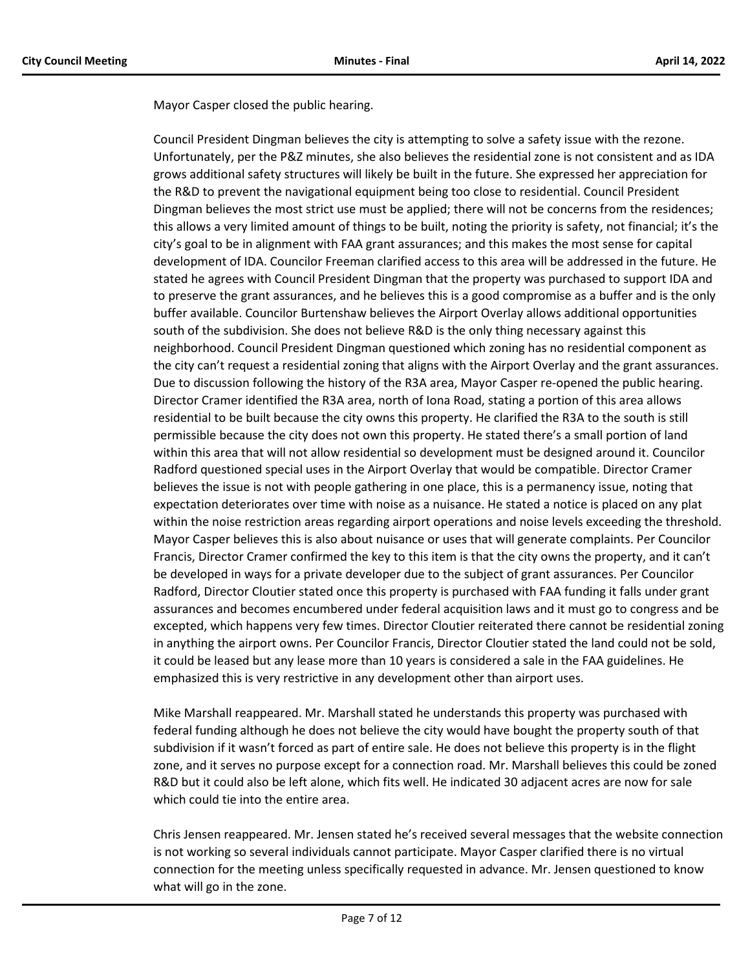Mayor Casper closed the public hearing.

Council President Dingman believes the city is attempting to solve a safety issue with the rezone. Unfortunately, per the P&Z minutes, she also believes the residential zone is not consistent and as IDA grows additional safety structures will likely be built in the future. She expressed her appreciation for the R&D to prevent the navigational equipment being too close to residential. Council President Dingman believes the most strict use must be applied; there will not be concerns from the residences; this allows a very limited amount of things to be built, noting the priority is safety, not financial; it's the city's goal to be in alignment with FAA grant assurances; and this makes the most sense for capital development of IDA. Councilor Freeman clarified access to this area will be addressed in the future. He stated he agrees with Council President Dingman that the property was purchased to support IDA and to preserve the grant assurances, and he believes this is a good compromise as a buffer and is the only buffer available. Councilor Burtenshaw believes the Airport Overlay allows additional opportunities south of the subdivision. She does not believe R&D is the only thing necessary against this neighborhood. Council President Dingman questioned which zoning has no residential component as the city can't request a residential zoning that aligns with the Airport Overlay and the grant assurances. Due to discussion following the history of the R3A area, Mayor Casper re-opened the public hearing. Director Cramer identified the R3A area, north of Iona Road, stating a portion of this area allows residential to be built because the city owns this property. He clarified the R3A to the south is still permissible because the city does not own this property. He stated there's a small portion of land within this area that will not allow residential so development must be designed around it. Councilor Radford questioned special uses in the Airport Overlay that would be compatible. Director Cramer believes the issue is not with people gathering in one place, this is a permanency issue, noting that expectation deteriorates over time with noise as a nuisance. He stated a notice is placed on any plat within the noise restriction areas regarding airport operations and noise levels exceeding the threshold. Mayor Casper believes this is also about nuisance or uses that will generate complaints. Per Councilor Francis, Director Cramer confirmed the key to this item is that the city owns the property, and it can't be developed in ways for a private developer due to the subject of grant assurances. Per Councilor Radford, Director Cloutier stated once this property is purchased with FAA funding it falls under grant assurances and becomes encumbered under federal acquisition laws and it must go to congress and be excepted, which happens very few times. Director Cloutier reiterated there cannot be residential zoning in anything the airport owns. Per Councilor Francis, Director Cloutier stated the land could not be sold, it could be leased but any lease more than 10 years is considered a sale in the FAA guidelines. He emphasized this is very restrictive in any development other than airport uses.

Mike Marshall reappeared. Mr. Marshall stated he understands this property was purchased with federal funding although he does not believe the city would have bought the property south of that subdivision if it wasn't forced as part of entire sale. He does not believe this property is in the flight zone, and it serves no purpose except for a connection road. Mr. Marshall believes this could be zoned R&D but it could also be left alone, which fits well. He indicated 30 adjacent acres are now for sale which could tie into the entire area.

Chris Jensen reappeared. Mr. Jensen stated he's received several messages that the website connection is not working so several individuals cannot participate. Mayor Casper clarified there is no virtual connection for the meeting unless specifically requested in advance. Mr. Jensen questioned to know what will go in the zone.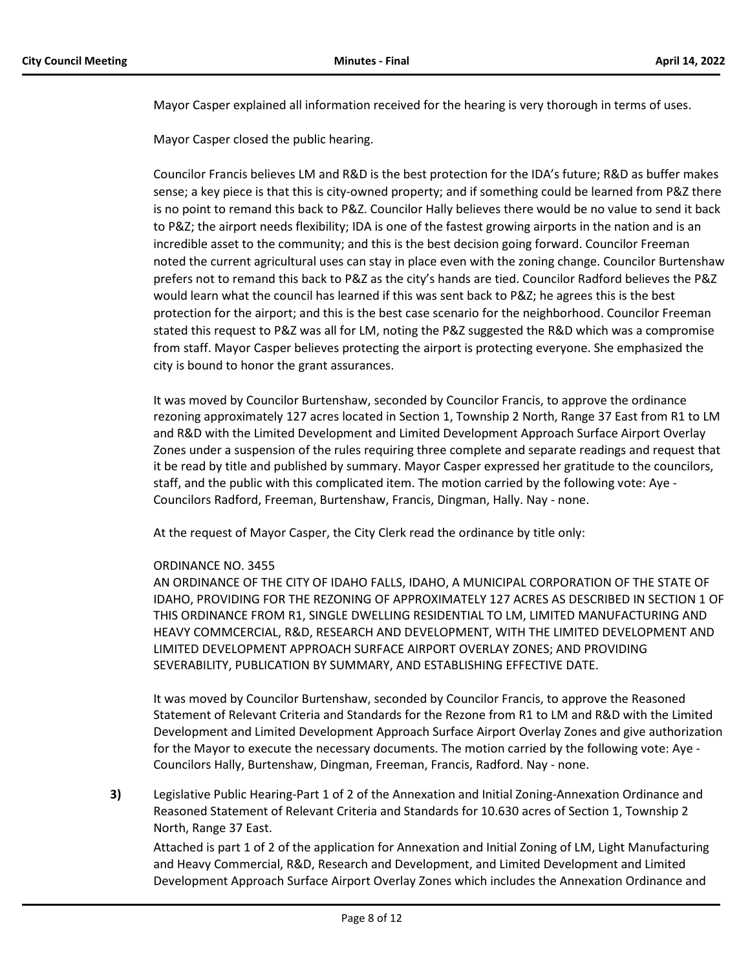Mayor Casper explained all information received for the hearing is very thorough in terms of uses.

Mayor Casper closed the public hearing.

Councilor Francis believes LM and R&D is the best protection for the IDA's future; R&D as buffer makes sense; a key piece is that this is city-owned property; and if something could be learned from P&Z there is no point to remand this back to P&Z. Councilor Hally believes there would be no value to send it back to P&Z; the airport needs flexibility; IDA is one of the fastest growing airports in the nation and is an incredible asset to the community; and this is the best decision going forward. Councilor Freeman noted the current agricultural uses can stay in place even with the zoning change. Councilor Burtenshaw prefers not to remand this back to P&Z as the city's hands are tied. Councilor Radford believes the P&Z would learn what the council has learned if this was sent back to P&Z; he agrees this is the best protection for the airport; and this is the best case scenario for the neighborhood. Councilor Freeman stated this request to P&Z was all for LM, noting the P&Z suggested the R&D which was a compromise from staff. Mayor Casper believes protecting the airport is protecting everyone. She emphasized the city is bound to honor the grant assurances.

It was moved by Councilor Burtenshaw, seconded by Councilor Francis, to approve the ordinance rezoning approximately 127 acres located in Section 1, Township 2 North, Range 37 East from R1 to LM and R&D with the Limited Development and Limited Development Approach Surface Airport Overlay Zones under a suspension of the rules requiring three complete and separate readings and request that it be read by title and published by summary. Mayor Casper expressed her gratitude to the councilors, staff, and the public with this complicated item. The motion carried by the following vote: Aye - Councilors Radford, Freeman, Burtenshaw, Francis, Dingman, Hally. Nay - none.

At the request of Mayor Casper, the City Clerk read the ordinance by title only:

# ORDINANCE NO. 3455

AN ORDINANCE OF THE CITY OF IDAHO FALLS, IDAHO, A MUNICIPAL CORPORATION OF THE STATE OF IDAHO, PROVIDING FOR THE REZONING OF APPROXIMATELY 127 ACRES AS DESCRIBED IN SECTION 1 OF THIS ORDINANCE FROM R1, SINGLE DWELLING RESIDENTIAL TO LM, LIMITED MANUFACTURING AND HEAVY COMMCERCIAL, R&D, RESEARCH AND DEVELOPMENT, WITH THE LIMITED DEVELOPMENT AND LIMITED DEVELOPMENT APPROACH SURFACE AIRPORT OVERLAY ZONES; AND PROVIDING SEVERABILITY, PUBLICATION BY SUMMARY, AND ESTABLISHING EFFECTIVE DATE.

It was moved by Councilor Burtenshaw, seconded by Councilor Francis, to approve the Reasoned Statement of Relevant Criteria and Standards for the Rezone from R1 to LM and R&D with the Limited Development and Limited Development Approach Surface Airport Overlay Zones and give authorization for the Mayor to execute the necessary documents. The motion carried by the following vote: Aye - Councilors Hally, Burtenshaw, Dingman, Freeman, Francis, Radford. Nay - none.

**3)** Legislative Public Hearing-Part 1 of 2 of the Annexation and Initial Zoning-Annexation Ordinance and Reasoned Statement of Relevant Criteria and Standards for 10.630 acres of Section 1, Township 2 North, Range 37 East.

Attached is part 1 of 2 of the application for Annexation and Initial Zoning of LM, Light Manufacturing and Heavy Commercial, R&D, Research and Development, and Limited Development and Limited Development Approach Surface Airport Overlay Zones which includes the Annexation Ordinance and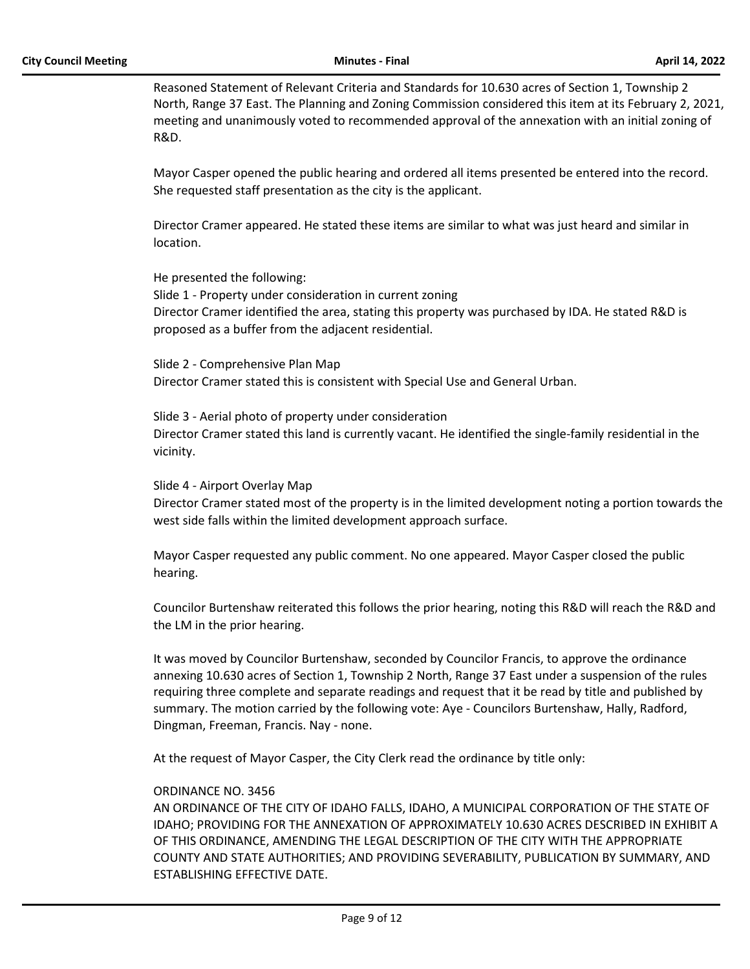Reasoned Statement of Relevant Criteria and Standards for 10.630 acres of Section 1, Township 2 North, Range 37 East. The Planning and Zoning Commission considered this item at its February 2, 2021, meeting and unanimously voted to recommended approval of the annexation with an initial zoning of R&D.

Mayor Casper opened the public hearing and ordered all items presented be entered into the record. She requested staff presentation as the city is the applicant.

Director Cramer appeared. He stated these items are similar to what was just heard and similar in location.

He presented the following: Slide 1 - Property under consideration in current zoning Director Cramer identified the area, stating this property was purchased by IDA. He stated R&D is proposed as a buffer from the adjacent residential.

Slide 2 - Comprehensive Plan Map Director Cramer stated this is consistent with Special Use and General Urban.

Slide 3 - Aerial photo of property under consideration Director Cramer stated this land is currently vacant. He identified the single-family residential in the vicinity.

Slide 4 - Airport Overlay Map

Director Cramer stated most of the property is in the limited development noting a portion towards the west side falls within the limited development approach surface.

Mayor Casper requested any public comment. No one appeared. Mayor Casper closed the public hearing.

Councilor Burtenshaw reiterated this follows the prior hearing, noting this R&D will reach the R&D and the LM in the prior hearing.

It was moved by Councilor Burtenshaw, seconded by Councilor Francis, to approve the ordinance annexing 10.630 acres of Section 1, Township 2 North, Range 37 East under a suspension of the rules requiring three complete and separate readings and request that it be read by title and published by summary. The motion carried by the following vote: Aye - Councilors Burtenshaw, Hally, Radford, Dingman, Freeman, Francis. Nay - none.

At the request of Mayor Casper, the City Clerk read the ordinance by title only:

#### ORDINANCE NO. 3456

AN ORDINANCE OF THE CITY OF IDAHO FALLS, IDAHO, A MUNICIPAL CORPORATION OF THE STATE OF IDAHO; PROVIDING FOR THE ANNEXATION OF APPROXIMATELY 10.630 ACRES DESCRIBED IN EXHIBIT A OF THIS ORDINANCE, AMENDING THE LEGAL DESCRIPTION OF THE CITY WITH THE APPROPRIATE COUNTY AND STATE AUTHORITIES; AND PROVIDING SEVERABILITY, PUBLICATION BY SUMMARY, AND ESTABLISHING EFFECTIVE DATE.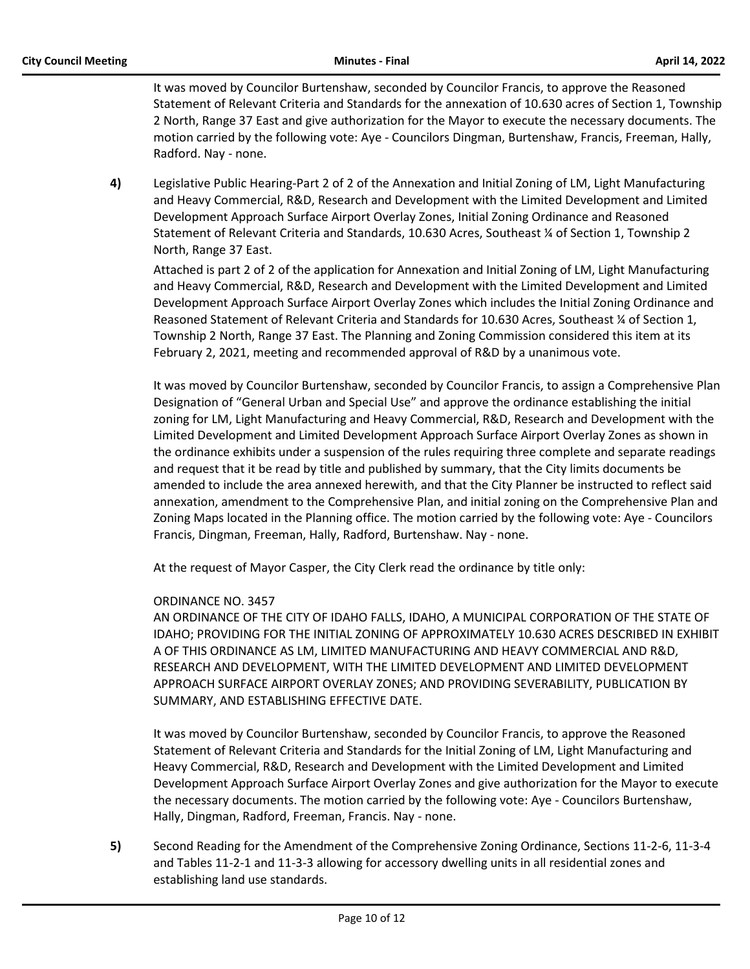It was moved by Councilor Burtenshaw, seconded by Councilor Francis, to approve the Reasoned Statement of Relevant Criteria and Standards for the annexation of 10.630 acres of Section 1, Township 2 North, Range 37 East and give authorization for the Mayor to execute the necessary documents. The motion carried by the following vote: Aye - Councilors Dingman, Burtenshaw, Francis, Freeman, Hally, Radford. Nay - none.

**4)** Legislative Public Hearing-Part 2 of 2 of the Annexation and Initial Zoning of LM, Light Manufacturing and Heavy Commercial, R&D, Research and Development with the Limited Development and Limited Development Approach Surface Airport Overlay Zones, Initial Zoning Ordinance and Reasoned Statement of Relevant Criteria and Standards, 10.630 Acres, Southeast ¼ of Section 1, Township 2 North, Range 37 East.

Attached is part 2 of 2 of the application for Annexation and Initial Zoning of LM, Light Manufacturing and Heavy Commercial, R&D, Research and Development with the Limited Development and Limited Development Approach Surface Airport Overlay Zones which includes the Initial Zoning Ordinance and Reasoned Statement of Relevant Criteria and Standards for 10.630 Acres, Southeast ¼ of Section 1, Township 2 North, Range 37 East. The Planning and Zoning Commission considered this item at its February 2, 2021, meeting and recommended approval of R&D by a unanimous vote.

It was moved by Councilor Burtenshaw, seconded by Councilor Francis, to assign a Comprehensive Plan Designation of "General Urban and Special Use" and approve the ordinance establishing the initial zoning for LM, Light Manufacturing and Heavy Commercial, R&D, Research and Development with the Limited Development and Limited Development Approach Surface Airport Overlay Zones as shown in the ordinance exhibits under a suspension of the rules requiring three complete and separate readings and request that it be read by title and published by summary, that the City limits documents be amended to include the area annexed herewith, and that the City Planner be instructed to reflect said annexation, amendment to the Comprehensive Plan, and initial zoning on the Comprehensive Plan and Zoning Maps located in the Planning office. The motion carried by the following vote: Aye - Councilors Francis, Dingman, Freeman, Hally, Radford, Burtenshaw. Nay - none.

At the request of Mayor Casper, the City Clerk read the ordinance by title only:

# ORDINANCE NO. 3457

AN ORDINANCE OF THE CITY OF IDAHO FALLS, IDAHO, A MUNICIPAL CORPORATION OF THE STATE OF IDAHO; PROVIDING FOR THE INITIAL ZONING OF APPROXIMATELY 10.630 ACRES DESCRIBED IN EXHIBIT A OF THIS ORDINANCE AS LM, LIMITED MANUFACTURING AND HEAVY COMMERCIAL AND R&D, RESEARCH AND DEVELOPMENT, WITH THE LIMITED DEVELOPMENT AND LIMITED DEVELOPMENT APPROACH SURFACE AIRPORT OVERLAY ZONES; AND PROVIDING SEVERABILITY, PUBLICATION BY SUMMARY, AND ESTABLISHING EFFECTIVE DATE.

It was moved by Councilor Burtenshaw, seconded by Councilor Francis, to approve the Reasoned Statement of Relevant Criteria and Standards for the Initial Zoning of LM, Light Manufacturing and Heavy Commercial, R&D, Research and Development with the Limited Development and Limited Development Approach Surface Airport Overlay Zones and give authorization for the Mayor to execute the necessary documents. The motion carried by the following vote: Aye - Councilors Burtenshaw, Hally, Dingman, Radford, Freeman, Francis. Nay - none.

**5)** Second Reading for the Amendment of the Comprehensive Zoning Ordinance, Sections 11-2-6, 11-3-4 and Tables 11-2-1 and 11-3-3 allowing for accessory dwelling units in all residential zones and establishing land use standards.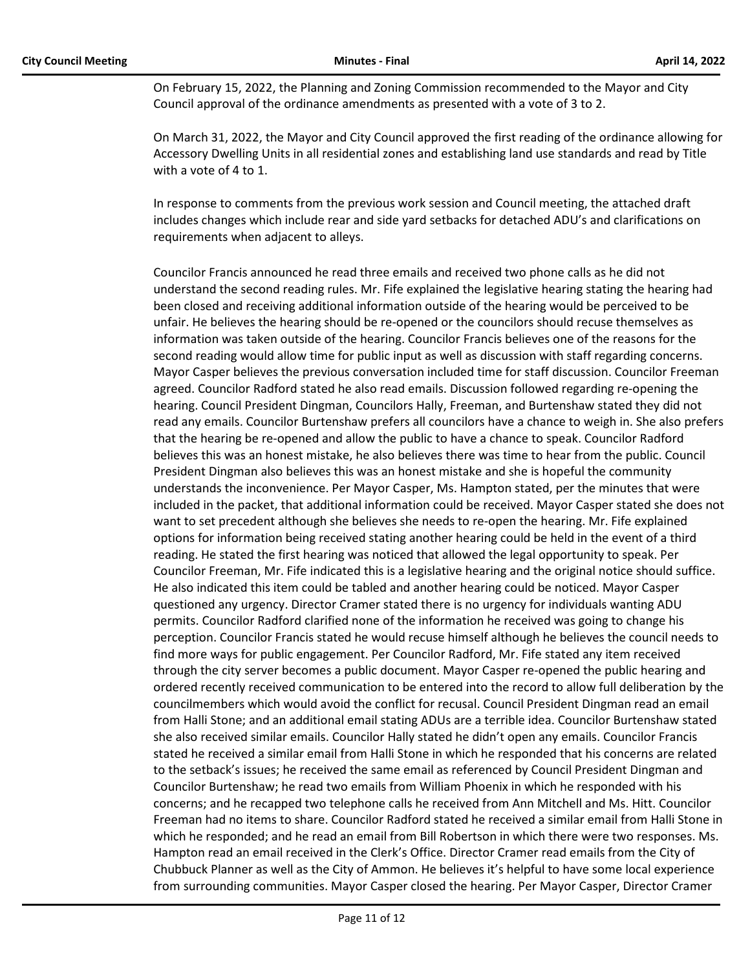On February 15, 2022, the Planning and Zoning Commission recommended to the Mayor and City Council approval of the ordinance amendments as presented with a vote of 3 to 2.

On March 31, 2022, the Mayor and City Council approved the first reading of the ordinance allowing for Accessory Dwelling Units in all residential zones and establishing land use standards and read by Title with a vote of 4 to 1.

In response to comments from the previous work session and Council meeting, the attached draft includes changes which include rear and side yard setbacks for detached ADU's and clarifications on requirements when adjacent to alleys.

Councilor Francis announced he read three emails and received two phone calls as he did not understand the second reading rules. Mr. Fife explained the legislative hearing stating the hearing had been closed and receiving additional information outside of the hearing would be perceived to be unfair. He believes the hearing should be re-opened or the councilors should recuse themselves as information was taken outside of the hearing. Councilor Francis believes one of the reasons for the second reading would allow time for public input as well as discussion with staff regarding concerns. Mayor Casper believes the previous conversation included time for staff discussion. Councilor Freeman agreed. Councilor Radford stated he also read emails. Discussion followed regarding re-opening the hearing. Council President Dingman, Councilors Hally, Freeman, and Burtenshaw stated they did not read any emails. Councilor Burtenshaw prefers all councilors have a chance to weigh in. She also prefers that the hearing be re-opened and allow the public to have a chance to speak. Councilor Radford believes this was an honest mistake, he also believes there was time to hear from the public. Council President Dingman also believes this was an honest mistake and she is hopeful the community understands the inconvenience. Per Mayor Casper, Ms. Hampton stated, per the minutes that were included in the packet, that additional information could be received. Mayor Casper stated she does not want to set precedent although she believes she needs to re-open the hearing. Mr. Fife explained options for information being received stating another hearing could be held in the event of a third reading. He stated the first hearing was noticed that allowed the legal opportunity to speak. Per Councilor Freeman, Mr. Fife indicated this is a legislative hearing and the original notice should suffice. He also indicated this item could be tabled and another hearing could be noticed. Mayor Casper questioned any urgency. Director Cramer stated there is no urgency for individuals wanting ADU permits. Councilor Radford clarified none of the information he received was going to change his perception. Councilor Francis stated he would recuse himself although he believes the council needs to find more ways for public engagement. Per Councilor Radford, Mr. Fife stated any item received through the city server becomes a public document. Mayor Casper re-opened the public hearing and ordered recently received communication to be entered into the record to allow full deliberation by the councilmembers which would avoid the conflict for recusal. Council President Dingman read an email from Halli Stone; and an additional email stating ADUs are a terrible idea. Councilor Burtenshaw stated she also received similar emails. Councilor Hally stated he didn't open any emails. Councilor Francis stated he received a similar email from Halli Stone in which he responded that his concerns are related to the setback's issues; he received the same email as referenced by Council President Dingman and Councilor Burtenshaw; he read two emails from William Phoenix in which he responded with his concerns; and he recapped two telephone calls he received from Ann Mitchell and Ms. Hitt. Councilor Freeman had no items to share. Councilor Radford stated he received a similar email from Halli Stone in which he responded; and he read an email from Bill Robertson in which there were two responses. Ms. Hampton read an email received in the Clerk's Office. Director Cramer read emails from the City of Chubbuck Planner as well as the City of Ammon. He believes it's helpful to have some local experience from surrounding communities. Mayor Casper closed the hearing. Per Mayor Casper, Director Cramer